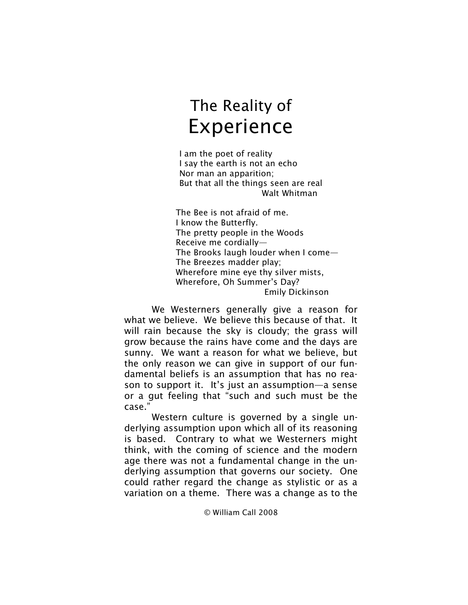I am the poet of reality I say the earth is not an echo Nor man an apparition; But that all the things seen are real Walt Whitman

The Bee is not afraid of me. I know the Butterfly. The pretty people in the Woods Receive me cordially— The Brooks laugh louder when I come— The Breezes madder play; Wherefore mine eye thy silver mists, Wherefore, Oh Summer's Day? Emily Dickinson

We Westerners generally give a reason for what we believe. We believe this because of that. It will rain because the sky is cloudy; the grass will grow because the rains have come and the days are sunny. We want a reason for what we believe, but the only reason we can give in support of our fundamental beliefs is an assumption that has no reason to support it. It's just an assumption—a sense or a gut feeling that "such and such must be the case."

Western culture is governed by a single underlying assumption upon which all of its reasoning is based. Contrary to what we Westerners might think, with the coming of science and the modern age there was not a fundamental change in the underlying assumption that governs our society. One could rather regard the change as stylistic or as a variation on a theme. There was a change as to the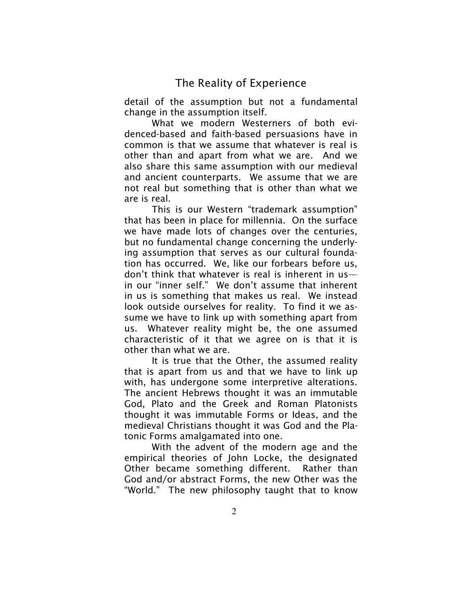detail of the assumption but not a fundamental change in the assumption itself.

What we modern Westerners of both evidenced-based and faith-based persuasions have in common is that we assume that whatever is real is other than and apart from what we are. And we also share this same assumption with our medieval and ancient counterparts. We assume that we are not real but something that is other than what we are is real.

This is our Western "trademark assumption" that has been in place for millennia. On the surface we have made lots of changes over the centuries, but no fundamental change concerning the underlying assumption that serves as our cultural foundation has occurred. We, like our forbears before us, don't think that whatever is real is inherent in us in our "inner self." We don't assume that inherent in us is something that makes us real. We instead look outside ourselves for reality. To find it we assume we have to link up with something apart from us. Whatever reality might be, the one assumed characteristic of it that we agree on is that it is other than what we are.

It is true that the Other, the assumed reality that is apart from us and that we have to link up with, has undergone some interpretive alterations. The ancient Hebrews thought it was an immutable God, Plato and the Greek and Roman Platonists thought it was immutable Forms or Ideas, and the medieval Christians thought it was God and the Platonic Forms amalgamated into one.

With the advent of the modern age and the empirical theories of John Locke, the designated Other became something different. Rather than God and/or abstract Forms, the new Other was the "World." The new philosophy taught that to know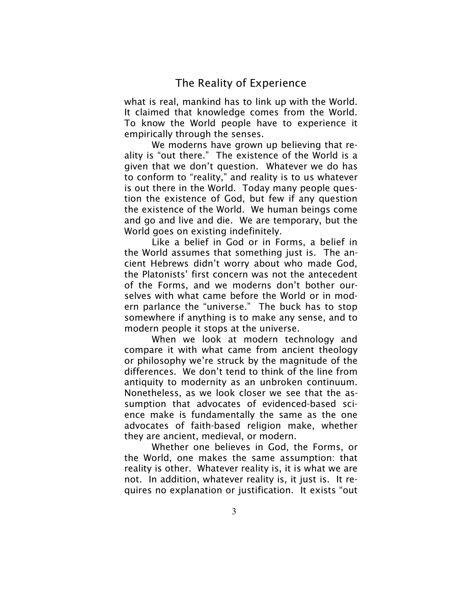what is real, mankind has to link up with the World. It claimed that knowledge comes from the World. To know the World people have to experience it empirically through the senses.

We moderns have grown up believing that reality is "out there." The existence of the World is a given that we don't question. Whatever we do has to conform to "reality," and reality is to us whatever is out there in the World. Today many people question the existence of God, but few if any question the existence of the World. We human beings come and go and live and die. We are temporary, but the World goes on existing indefinitely.

Like a belief in God or in Forms, a belief in the World assumes that something just is. The ancient Hebrews didn't worry about who made God, the Platonists' first concern was not the antecedent of the Forms, and we moderns don't bother ourselves with what came before the World or in modern parlance the "universe." The buck has to stop somewhere if anything is to make any sense, and to modern people it stops at the universe.

When we look at modern technology and compare it with what came from ancient theology or philosophy we're struck by the magnitude of the differences. We don't tend to think of the line from antiquity to modernity as an unbroken continuum. Nonetheless, as we look closer we see that the assumption that advocates of evidenced-based science make is fundamentally the same as the one advocates of faith-based religion make, whether they are ancient, medieval, or modern.

Whether one believes in God, the Forms, or the World, one makes the same assumption: that reality is other. Whatever reality is, it is what we are not. In addition, whatever reality is, it just is. It requires no explanation or justification. It exists "out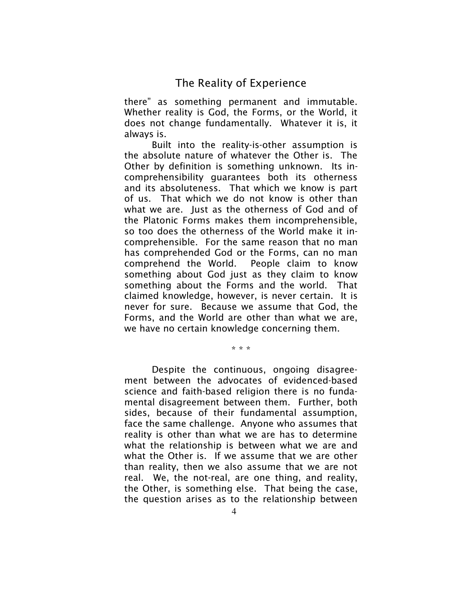there" as something permanent and immutable. Whether reality is God, the Forms, or the World, it does not change fundamentally. Whatever it is, it always is.

Built into the reality-is-other assumption is the absolute nature of whatever the Other is. The Other by definition is something unknown. Its incomprehensibility guarantees both its otherness and its absoluteness. That which we know is part of us. That which we do not know is other than what we are. Just as the otherness of God and of the Platonic Forms makes them incomprehensible, so too does the otherness of the World make it incomprehensible. For the same reason that no man has comprehended God or the Forms, can no man comprehend the World. People claim to know something about God just as they claim to know something about the Forms and the world. That claimed knowledge, however, is never certain. It is never for sure. Because we assume that God, the Forms, and the World are other than what we are, we have no certain knowledge concerning them.

.<br>محمد محمد المحمد

Despite the continuous, ongoing disagreement between the advocates of evidenced-based science and faith-based religion there is no fundamental disagreement between them. Further, both sides, because of their fundamental assumption, face the same challenge. Anyone who assumes that reality is other than what we are has to determine what the relationship is between what we are and what the Other is. If we assume that we are other than reality, then we also assume that we are not real. We, the not-real, are one thing, and reality, the Other, is something else. That being the case, the question arises as to the relationship between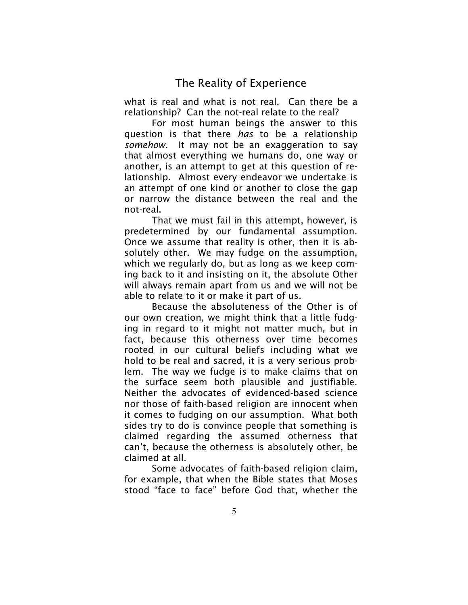what is real and what is not real. Can there be a relationship? Can the not-real relate to the real?

For most human beings the answer to this question is that there *has* to be a relationship *somehow*. It may not be an exaggeration to say that almost everything we humans do, one way or another, is an attempt to get at this question of relationship. Almost every endeavor we undertake is an attempt of one kind or another to close the gap or narrow the distance between the real and the not-real.

That we must fail in this attempt, however, is predetermined by our fundamental assumption. Once we assume that reality is other, then it is absolutely other. We may fudge on the assumption, which we regularly do, but as long as we keep coming back to it and insisting on it, the absolute Other will always remain apart from us and we will not be able to relate to it or make it part of us.

Because the absoluteness of the Other is of our own creation, we might think that a little fudging in regard to it might not matter much, but in fact, because this otherness over time becomes rooted in our cultural beliefs including what we hold to be real and sacred, it is a very serious problem. The way we fudge is to make claims that on the surface seem both plausible and justifiable. Neither the advocates of evidenced-based science nor those of faith-based religion are innocent when it comes to fudging on our assumption. What both sides try to do is convince people that something is claimed regarding the assumed otherness that can't, because the otherness is absolutely other, be claimed at all.

Some advocates of faith-based religion claim, for example, that when the Bible states that Moses stood "face to face" before God that, whether the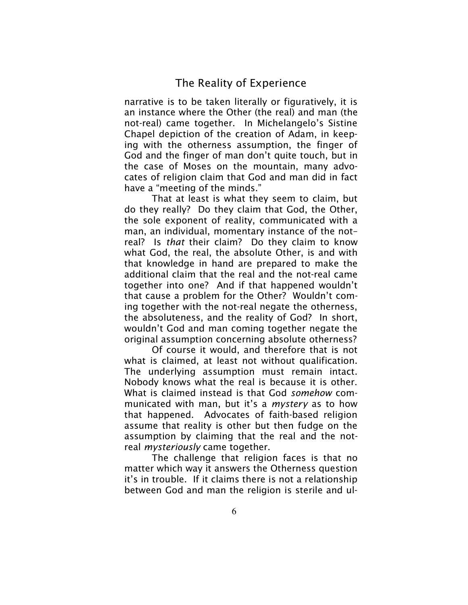narrative is to be taken literally or figuratively, it is an instance where the Other (the real) and man (the not-real) came together. In Michelangelo's Sistine Chapel depiction of the creation of Adam, in keeping with the otherness assumption, the finger of God and the finger of man don't quite touch, but in the case of Moses on the mountain, many advocates of religion claim that God and man did in fact have a "meeting of the minds."

That at least is what they seem to claim, but do they really? Do they claim that God, the Other, the sole exponent of reality, communicated with a man, an individual, momentary instance of the not– real? Is *that* their claim? Do they claim to know what God, the real, the absolute Other, is and with that knowledge in hand are prepared to make the additional claim that the real and the not-real came together into one? And if that happened wouldn't that cause a problem for the Other? Wouldn't coming together with the not-real negate the otherness, the absoluteness, and the reality of God? In short, wouldn't God and man coming together negate the original assumption concerning absolute otherness?

Of course it would, and therefore that is not what is claimed, at least not without qualification. The underlying assumption must remain intact. Nobody knows what the real is because it is other. What is claimed instead is that God *somehow* communicated with man, but it's a *mystery* as to how that happened. Advocates of faith-based religion assume that reality is other but then fudge on the assumption by claiming that the real and the notreal *mysteriously* came together.

The challenge that religion faces is that no matter which way it answers the Otherness question it's in trouble. If it claims there is not a relationship between God and man the religion is sterile and ul-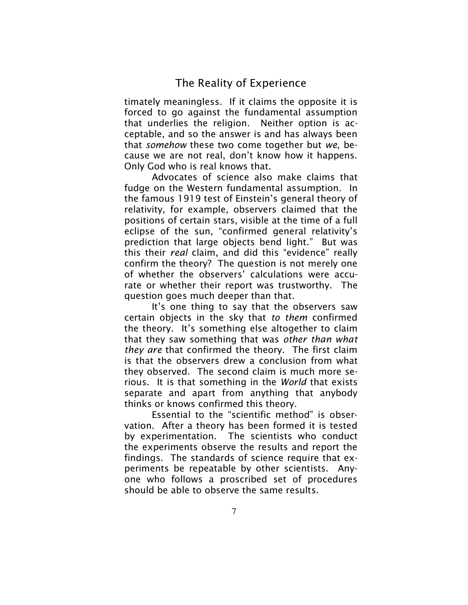timately meaningless. If it claims the opposite it is forced to go against the fundamental assumption that underlies the religion. Neither option is acceptable, and so the answer is and has always been that *somehow* these two come together but *we*, because we are not real, don't know how it happens. Only God who is real knows that.

Advocates of science also make claims that fudge on the Western fundamental assumption. In the famous 1919 test of Einstein's general theory of relativity, for example, observers claimed that the positions of certain stars, visible at the time of a full eclipse of the sun, "confirmed general relativity's prediction that large objects bend light." But was this their *real* claim, and did this "evidence" really confirm the theory? The question is not merely one of whether the observers' calculations were accurate or whether their report was trustworthy. The question goes much deeper than that.

It's one thing to say that the observers saw certain objects in the sky that *to them* confirmed the theory. It's something else altogether to claim that they saw something that was *other than what they are* that confirmed the theory. The first claim is that the observers drew a conclusion from what they observed. The second claim is much more serious. It is that something in the *World* that exists separate and apart from anything that anybody thinks or knows confirmed this theory.

Essential to the "scientific method" is observation. After a theory has been formed it is tested by experimentation. The scientists who conduct the experiments observe the results and report the findings. The standards of science require that experiments be repeatable by other scientists. Anyone who follows a proscribed set of procedures should be able to observe the same results.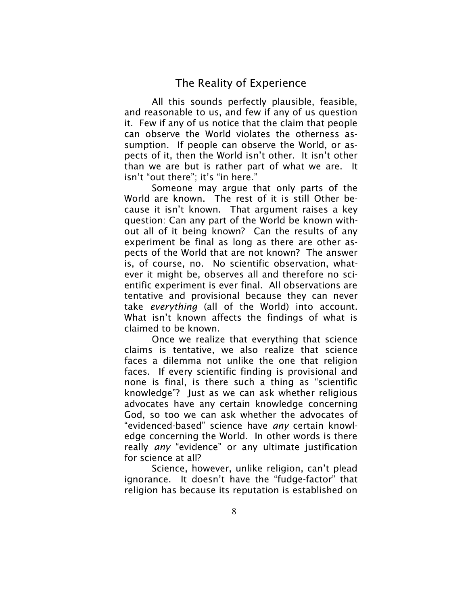All this sounds perfectly plausible, feasible, and reasonable to us, and few if any of us question it. Few if any of us notice that the claim that people can observe the World violates the otherness assumption. If people can observe the World, or aspects of it, then the World isn't other. It isn't other than we are but is rather part of what we are. It isn't "out there"; it's "in here."

Someone may argue that only parts of the World are known. The rest of it is still Other because it isn't known. That argument raises a key question: Can any part of the World be known without all of it being known? Can the results of any experiment be final as long as there are other aspects of the World that are not known? The answer is, of course, no. No scientific observation, whatever it might be, observes all and therefore no scientific experiment is ever final. All observations are tentative and provisional because they can never take *everything* (all of the World) into account. What isn't known affects the findings of what is claimed to be known.

Once we realize that everything that science claims is tentative, we also realize that science faces a dilemma not unlike the one that religion faces. If every scientific finding is provisional and none is final, is there such a thing as "scientific knowledge"? Just as we can ask whether religious advocates have any certain knowledge concerning God, so too we can ask whether the advocates of "evidenced-based" science have *any* certain knowledge concerning the World. In other words is there really *any* "evidence" or any ultimate justification for science at all?

Science, however, unlike religion, can't plead ignorance. It doesn't have the "fudge-factor" that religion has because its reputation is established on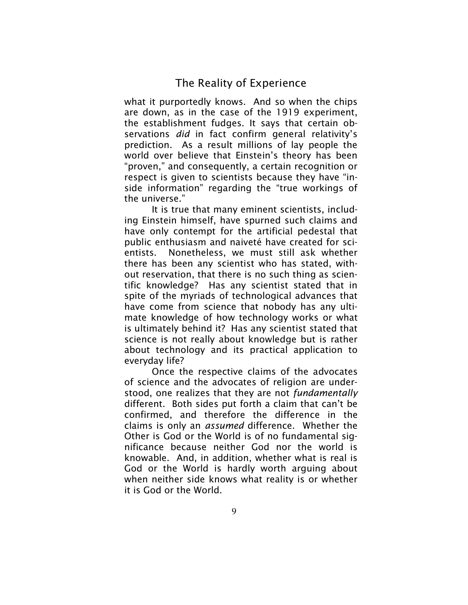what it purportedly knows. And so when the chips are down, as in the case of the 1919 experiment, the establishment fudges. It says that certain observations *did* in fact confirm general relativity's prediction. As a result millions of lay people the world over believe that Einstein's theory has been "proven," and consequently, a certain recognition or respect is given to scientists because they have "inside information" regarding the "true workings of the universe."

It is true that many eminent scientists, including Einstein himself, have spurned such claims and have only contempt for the artificial pedestal that public enthusiasm and naiveté have created for scientists. Nonetheless, we must still ask whether there has been any scientist who has stated, without reservation, that there is no such thing as scientific knowledge? Has any scientist stated that in spite of the myriads of technological advances that have come from science that nobody has any ultimate knowledge of how technology works or what is ultimately behind it? Has any scientist stated that science is not really about knowledge but is rather about technology and its practical application to everyday life?

Once the respective claims of the advocates of science and the advocates of religion are understood, one realizes that they are not *fundamentally* different. Both sides put forth a claim that can't be confirmed, and therefore the difference in the claims is only an *assumed* difference. Whether the Other is God or the World is of no fundamental significance because neither God nor the world is knowable. And, in addition, whether what is real is God or the World is hardly worth arguing about when neither side knows what reality is or whether it is God or the World.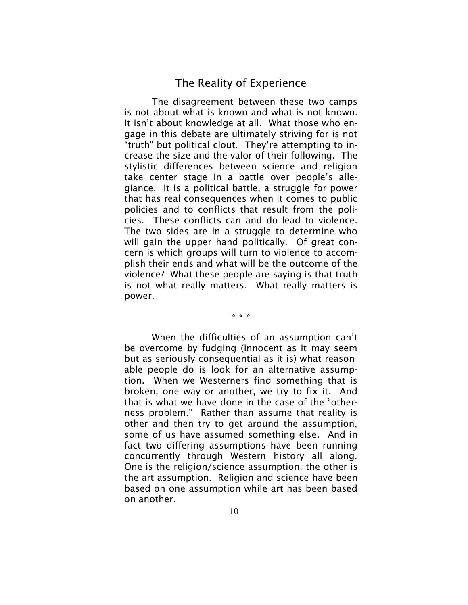The disagreement between these two camps is not about what is known and what is not known. It isn't about knowledge at all. What those who engage in this debate are ultimately striving for is not "truth" but political clout. They're attempting to increase the size and the valor of their following. The stylistic differences between science and religion take center stage in a battle over people's allegiance. It is a political battle, a struggle for power that has real consequences when it comes to public policies and to conflicts that result from the policies. These conflicts can and do lead to violence. The two sides are in a struggle to determine who will gain the upper hand politically. Of great concern is which groups will turn to violence to accomplish their ends and what will be the outcome of the violence? What these people are saying is that truth is not what really matters. What really matters is power.

\* \* \*

When the difficulties of an assumption can't be overcome by fudging (innocent as it may seem but as seriously consequential as it is) what reasonable people do is look for an alternative assumption. When we Westerners find something that is broken, one way or another, we try to fix it. And that is what we have done in the case of the "otherness problem." Rather than assume that reality is other and then try to get around the assumption, some of us have assumed something else. And in fact two differing assumptions have been running concurrently through Western history all along. One is the religion/science assumption; the other is the art assumption. Religion and science have been based on one assumption while art has been based on another.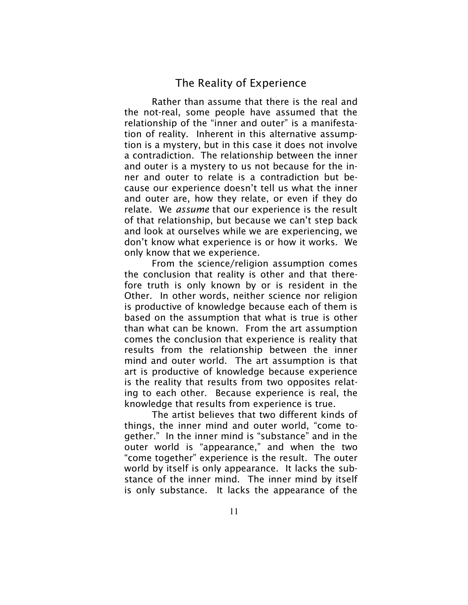Rather than assume that there is the real and the not-real, some people have assumed that the relationship of the "inner and outer" is a manifestation of reality. Inherent in this alternative assumption is a mystery, but in this case it does not involve a contradiction. The relationship between the inner and outer is a mystery to us not because for the inner and outer to relate is a contradiction but because our experience doesn't tell us what the inner and outer are, how they relate, or even if they do relate. We *assume* that our experience is the result of that relationship, but because we can't step back and look at ourselves while we are experiencing, we don't know what experience is or how it works. We only know that we experience.

From the science/religion assumption comes the conclusion that reality is other and that therefore truth is only known by or is resident in the Other. In other words, neither science nor religion is productive of knowledge because each of them is based on the assumption that what is true is other than what can be known. From the art assumption comes the conclusion that experience is reality that results from the relationship between the inner mind and outer world. The art assumption is that art is productive of knowledge because experience is the reality that results from two opposites relating to each other. Because experience is real, the knowledge that results from experience is true.

The artist believes that two different kinds of things, the inner mind and outer world, "come together." In the inner mind is "substance" and in the outer world is "appearance," and when the two "come together" experience is the result. The outer world by itself is only appearance. It lacks the substance of the inner mind. The inner mind by itself is only substance. It lacks the appearance of the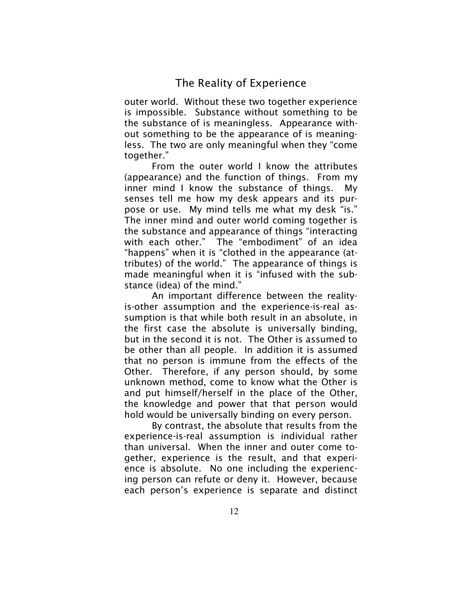outer world. Without these two together experience is impossible. Substance without something to be the substance of is meaningless. Appearance without something to be the appearance of is meaningless. The two are only meaningful when they "come together."

From the outer world I know the attributes (appearance) and the function of things. From my inner mind I know the substance of things. My senses tell me how my desk appears and its purpose or use. My mind tells me what my desk "is." The inner mind and outer world coming together is the substance and appearance of things "interacting with each other." The "embodiment" of an idea "happens" when it is "clothed in the appearance (attributes) of the world." The appearance of things is made meaningful when it is "infused with the substance (idea) of the mind."

An important difference between the realityis-other assumption and the experience-is-real assumption is that while both result in an absolute, in the first case the absolute is universally binding, but in the second it is not. The Other is assumed to be other than all people. In addition it is assumed that no person is immune from the effects of the Other. Therefore, if any person should, by some unknown method, come to know what the Other is and put himself/herself in the place of the Other, the knowledge and power that that person would hold would be universally binding on every person.

By contrast, the absolute that results from the experience-is-real assumption is individual rather than universal. When the inner and outer come together, experience is the result, and that experience is absolute. No one including the experiencing person can refute or deny it. However, because each person's experience is separate and distinct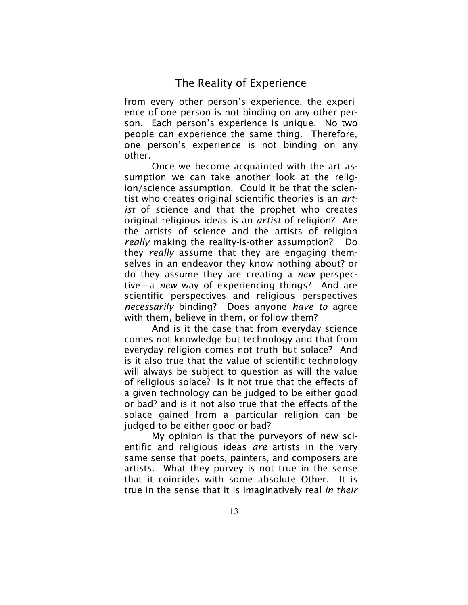from every other person's experience, the experience of one person is not binding on any other person. Each person's experience is unique. No two people can experience the same thing. Therefore, one person's experience is not binding on any other.

Once we become acquainted with the art assumption we can take another look at the religion/science assumption. Could it be that the scientist who creates original scientific theories is an *artist* of science and that the prophet who creates original religious ideas is an *artist* of religion? Are the artists of science and the artists of religion *really* making the reality-is-other assumption? Do they *really* assume that they are engaging themselves in an endeavor they know nothing about? or do they assume they are creating a *new* perspective—a *new* way of experiencing things? And are scientific perspectives and religious perspectives *necessarily* binding? Does anyone *have to* agree with them, believe in them, or follow them?

And is it the case that from everyday science comes not knowledge but technology and that from everyday religion comes not truth but solace? And is it also true that the value of scientific technology will always be subject to question as will the value of religious solace? Is it not true that the effects of a given technology can be judged to be either good or bad? and is it not also true that the effects of the solace gained from a particular religion can be judged to be either good or bad?

My opinion is that the purveyors of new scientific and religious ideas *are* artists in the very same sense that poets, painters, and composers are artists. What they purvey is not true in the sense that it coincides with some absolute Other. It is true in the sense that it is imaginatively real *in their*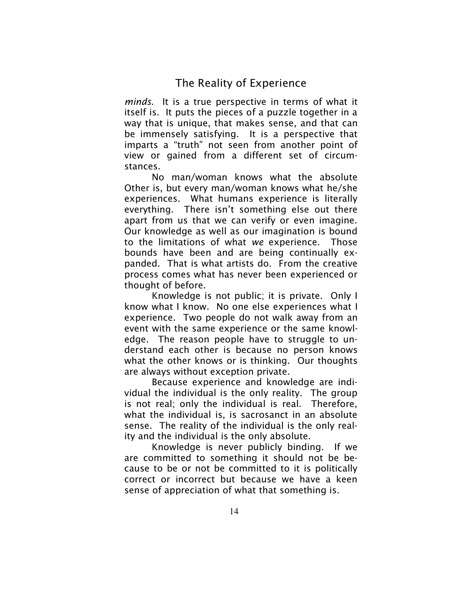*minds*. It is a true perspective in terms of what it itself is. It puts the pieces of a puzzle together in a way that is unique, that makes sense, and that can be immensely satisfying. It is a perspective that imparts a "truth" not seen from another point of view or gained from a different set of circumstances.

No man/woman knows what the absolute Other is, but every man/woman knows what he/she experiences. What humans experience is literally everything. There isn't something else out there apart from us that we can verify or even imagine. Our knowledge as well as our imagination is bound to the limitations of what *we* experience. Those bounds have been and are being continually expanded. That is what artists do. From the creative process comes what has never been experienced or thought of before.

Knowledge is not public; it is private. Only I know what I know. No one else experiences what I experience. Two people do not walk away from an event with the same experience or the same knowledge. The reason people have to struggle to understand each other is because no person knows what the other knows or is thinking. Our thoughts are always without exception private.

Because experience and knowledge are individual the individual is the only reality. The group is not real; only the individual is real. Therefore, what the individual is, is sacrosanct in an absolute sense. The reality of the individual is the only reality and the individual is the only absolute.

Knowledge is never publicly binding. If we are committed to something it should not be because to be or not be committed to it is politically correct or incorrect but because we have a keen sense of appreciation of what that something is.